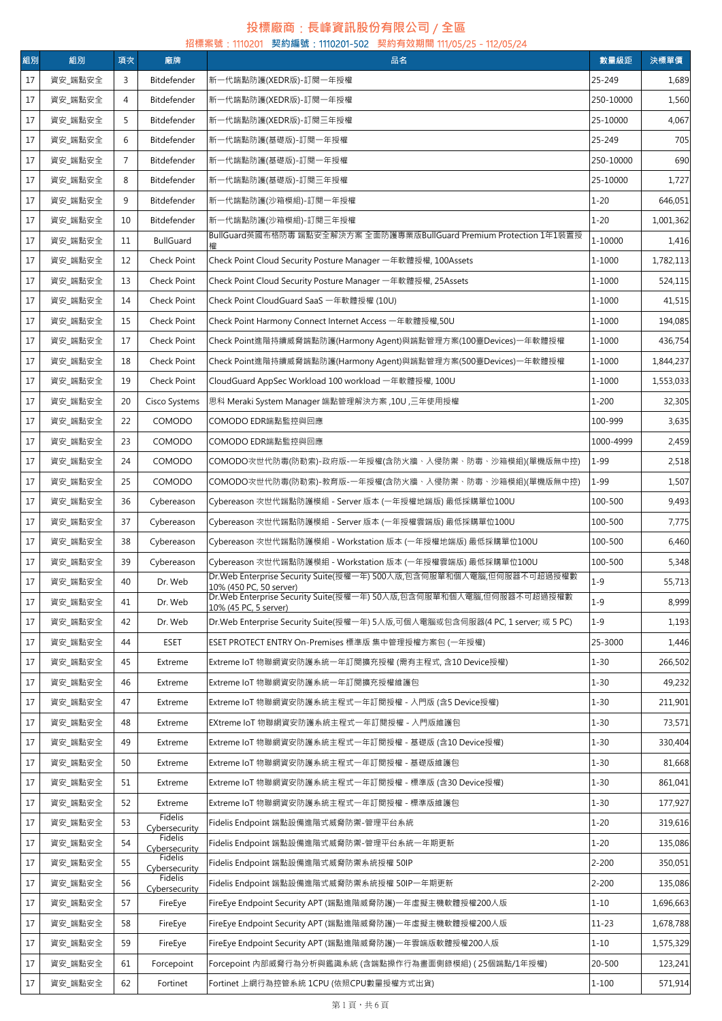## **投標廠商**:**長峰資訊股份有限公司** / **全區**

|    | 招標案號:1110201 契約編號:1110201-502 契約有效期間 111/05/25 - 112/05/24 |                |                          |                                                                                                         |           |           |  |  |
|----|------------------------------------------------------------|----------------|--------------------------|---------------------------------------------------------------------------------------------------------|-----------|-----------|--|--|
| 組別 | 組別                                                         | 項次             | 廠牌                       | 品名                                                                                                      | 數量級距      | 決標單價      |  |  |
| 17 | 資安 端點安全                                                    | 3              | Bitdefender              | 新一代端點防護(XEDR版)-訂閱一年授權                                                                                   | 25-249    | 1,689     |  |  |
| 17 | 資安 端點安全                                                    | $\overline{4}$ | Bitdefender              | 新一代端點防護(XEDR版)-訂閱一年授權                                                                                   | 250-10000 | 1,560     |  |  |
| 17 | 資安_端點安全                                                    | 5              | Bitdefender              | 新一代端點防護(XEDR版)-訂閱三年授權                                                                                   | 25-10000  | 4,067     |  |  |
| 17 | 資安_端點安全                                                    | 6              | Bitdefender              | 新一代端點防護(基礎版)-訂閱一年授權                                                                                     | 25-249    | 705       |  |  |
| 17 | 資安_端點安全                                                    | 7              | Bitdefender              | 新一代端點防護(基礎版)-訂閱一年授權                                                                                     | 250-10000 | 690       |  |  |
| 17 | 資安_端點安全                                                    | 8              | Bitdefender              | 新一代端點防護(基礎版)-訂閱三年授權                                                                                     | 25-10000  | 1,727     |  |  |
| 17 | 資安_端點安全                                                    | 9              | Bitdefender              | 新一代端點防護(沙箱模組)-訂閱一年授權                                                                                    | $1 - 20$  | 646,051   |  |  |
| 17 | 資安_端點安全                                                    | 10             | Bitdefender              | 新一代端點防護(沙箱模組)-訂閱三年授權                                                                                    | $1 - 20$  | 1,001,362 |  |  |
| 17 | 資安_端點安全                                                    | 11             | <b>BullGuard</b>         | BullGuard英國布格防毒 端點安全解決方案 全面防護專業版BullGuard Premium Protection 1年1裝置授                                     | 1-10000   | 1,416     |  |  |
| 17 | 資安_端點安全                                                    | 12             | Check Point              | Check Point Cloud Security Posture Manager 一年軟體授權, 100Assets                                            | 1-1000    | 1,782,113 |  |  |
| 17 | 資安_端點安全                                                    | 13             | Check Point              | Check Point Cloud Security Posture Manager 一年軟體授權, 25Assets                                             | 1-1000    | 524,115   |  |  |
| 17 | 資安_端點安全                                                    | 14             | Check Point              | Check Point CloudGuard SaaS 一年軟體授權 (10U)                                                                | 1-1000    | 41,515    |  |  |
| 17 | 資安_端點安全                                                    | 15             | Check Point              | Check Point Harmony Connect Internet Access 一年軟體授權,50U                                                  | 1-1000    | 194,085   |  |  |
| 17 | 資安_端點安全                                                    | 17             | Check Point              | Check Point進階持續威脅端點防護(Harmony Agent)與端點管理方案(100臺Devices)一年軟體授權                                          | 1-1000    | 436,754   |  |  |
| 17 | 資安_端點安全                                                    | 18             | Check Point              | Check Point進階持續威脅端點防護(Harmony Agent)與端點管理方案(500臺Devices)一年軟體授權                                          | 1-1000    | 1,844,237 |  |  |
| 17 | 資安_端點安全                                                    | 19             | Check Point              | CloudGuard AppSec Workload 100 workload 一年軟體授權, 100U                                                    | 1-1000    | 1,553,033 |  |  |
| 17 | 資安_端點安全                                                    | 20             | Cisco Systems            | 思科 Meraki System Manager 端點管理解決方案 ,10U ,三年使用授權                                                          | $1 - 200$ | 32,305    |  |  |
| 17 | 資安_端點安全                                                    | 22             | COMODO                   | COMODO EDR端點監控與回應                                                                                       | 100-999   | 3,635     |  |  |
| 17 | 資安_端點安全                                                    | 23             | COMODO                   | COMODO EDR端點監控與回應                                                                                       | 1000-4999 | 2,459     |  |  |
| 17 | 資安_端點安全                                                    | 24             | COMODO                   | COMODO次世代防毒(防勒索)-政府版-一年授權(含防火牆、入侵防禦、防毒、沙箱模組)(單機版無中控)                                                    | $1 - 99$  | 2,518     |  |  |
| 17 | 資安_端點安全                                                    | 25             | COMODO                   | COMODO次世代防毒(防勒索)-教育版-一年授權(含防火牆、入侵防禦、防毒、沙箱模組)(單機版無中控)                                                    | $1 - 99$  | 1,507     |  |  |
| 17 | 資安_端點安全                                                    | 36             | Cybereason               | Cybereason 次世代端點防護模組 - Server 版本 (一年授權地端版) 最低採購單位100U                                                   | 100-500   | 9,493     |  |  |
| 17 | 資安_端點安全                                                    | 37             | Cybereason               | Cybereason 次世代端點防護模組 - Server 版本 (一年授權雲端版) 最低採購單位100U                                                   | 100-500   | 7,775     |  |  |
| 17 | 資安_端點安全                                                    | 38             | Cybereason               | Cybereason 次世代端點防護模組 - Workstation 版本 (一年授權地端版) 最低採購單位100U                                              | 100-500   | 6,460     |  |  |
| 17 | 資安_端點安全                                                    | 39             | Cybereason               | Cybereason 次世代端點防護模組 - Workstation 版本 (一年授權雲端版) 最低採購單位100U                                              | 100-500   | 5,348     |  |  |
| 17 | 資安_端點安全                                                    | 40             | Dr. Web                  | Dr.Web Enterprise Security Suite(授權一年) 500人版,包含伺服單和個人電腦,但伺服器不可超過授權數                                     | $1 - 9$   | 55,713    |  |  |
| 17 | 資安_端點安全                                                    | 41             | Dr. Web                  | 10% (450 PC, 50 server)<br>Dr.Web Enterprise Security Suite(授權一年) 50人版,包含伺服單和個人電腦,但伺服器不可超過授權數           | $1 - 9$   | 8,999     |  |  |
| 17 | 資安_端點安全                                                    | 42             | Dr. Web                  | 10% (45 PC, 5 server)<br>Dr.Web Enterprise Security Suite(授權一年) 5人版,可個人電腦或包含伺服器(4 PC, 1 server; 或 5 PC) | $1 - 9$   | 1,193     |  |  |
| 17 | 資安_端點安全                                                    | 44             | <b>ESET</b>              | ESET PROTECT ENTRY On-Premises 標準版 集中管理授權方案包 (一年授權)                                                     | 25-3000   | 1,446     |  |  |
| 17 | 資安_端點安全                                                    | 45             | Extreme                  | Extreme IoT 物聯網資安防護系統一年訂閱擴充授權 (需有主程式, 含10 Device授權)                                                     | $1 - 30$  | 266,502   |  |  |
| 17 | 資安_端點安全                                                    | 46             | Extreme                  | Extreme IoT 物聯網資安防護系統一年訂閱擴充授權維護包                                                                        | $1 - 30$  | 49,232    |  |  |
|    | 資安 端點安全                                                    | 47             |                          |                                                                                                         | $1 - 30$  |           |  |  |
| 17 |                                                            |                | Extreme                  | Extreme IoT 物聯網資安防護系統主程式一年訂閱授權 - 入門版 (含5 Device授權)                                                      |           | 211,901   |  |  |
| 17 | 資安_端點安全                                                    | 48             | Extreme                  | EXtreme IoT 物聯網資安防護系統主程式一年訂閱授權 - 入門版維護包                                                                 | $1 - 30$  | 73,571    |  |  |
| 17 | 資安_端點安全                                                    | 49             | Extreme                  | Extreme IoT 物聯網資安防護系統主程式一年訂閱授權 - 基礎版 (含10 Device授權)                                                     | $1 - 30$  | 330,404   |  |  |
| 17 | 資安_端點安全                                                    | 50             | Extreme                  | Extreme IoT 物聯網資安防護系統主程式一年訂閱授權 - 基礎版維護包                                                                 | $1 - 30$  | 81,668    |  |  |
| 17 | 資安_端點安全                                                    | 51             | Extreme                  | Extreme IoT 物聯網資安防護系統主程式一年訂閱授權 - 標準版 (含30 Device授權)                                                     | $1 - 30$  | 861,041   |  |  |
| 17 | 資安_端點安全                                                    | 52             | Extreme<br>Fidelis       | Extreme IoT 物聯網資安防護系統主程式一年訂閱授權 - 標準版維護包                                                                 | $1 - 30$  | 177,927   |  |  |
| 17 | 資安_端點安全                                                    | 53             | Cybersecurity<br>Fidelis | Fidelis Endpoint 端點設備進階式威脅防禦-管理平台系統                                                                     | $1 - 20$  | 319,616   |  |  |
| 17 | 資安_端點安全                                                    | 54             | Cybersecurity<br>Fidelis | Fidelis Endpoint 端點設備進階式威脅防禦-管理平台系統一年期更新                                                                | $1 - 20$  | 135,086   |  |  |
| 17 | 資安_端點安全                                                    | 55             | Cybersecurity<br>Fidelis | Fidelis Endpoint 端點設備進階式威脅防禦系統授權 50IP                                                                   | $2 - 200$ | 350,051   |  |  |
| 17 | 資安_端點安全                                                    | 56             | Cybersecurity            | Fidelis Endpoint 端點設備進階式威脅防禦系統授權 50IP一年期更新                                                              | $2 - 200$ | 135,086   |  |  |
| 17 | 資安_端點安全                                                    | 57             | FireEye                  | FireEye Endpoint Security APT (端點進階威脅防護)一年虛擬主機軟體授權200人版                                                 | $1 - 10$  | 1,696,663 |  |  |
| 17 | 資安_端點安全                                                    | 58             | FireEye                  | FireEye Endpoint Security APT (端點進階威脅防護)一年虛擬主機軟體授權200人版                                                 | $11 - 23$ | 1,678,788 |  |  |
| 17 | 資安_端點安全                                                    | 59             | FireEye                  | FireEye Endpoint Security APT (端點進階威脅防護)一年雲端版軟體授權200人版                                                  | $1 - 10$  | 1,575,329 |  |  |
| 17 | 資安_端點安全                                                    | 61             | Forcepoint               | Forcepoint 內部威脅行為分析與鑑識系統 (含端點操作行為畫面側錄模組) ( 25個端點/1年授權)                                                  | 20-500    | 123,241   |  |  |
| 17 | 資安_端點安全                                                    | 62             | Fortinet                 | Fortinet 上網行為控管系統 1CPU (依照CPU數量授權方式出貨)                                                                  | $1 - 100$ | 571,914   |  |  |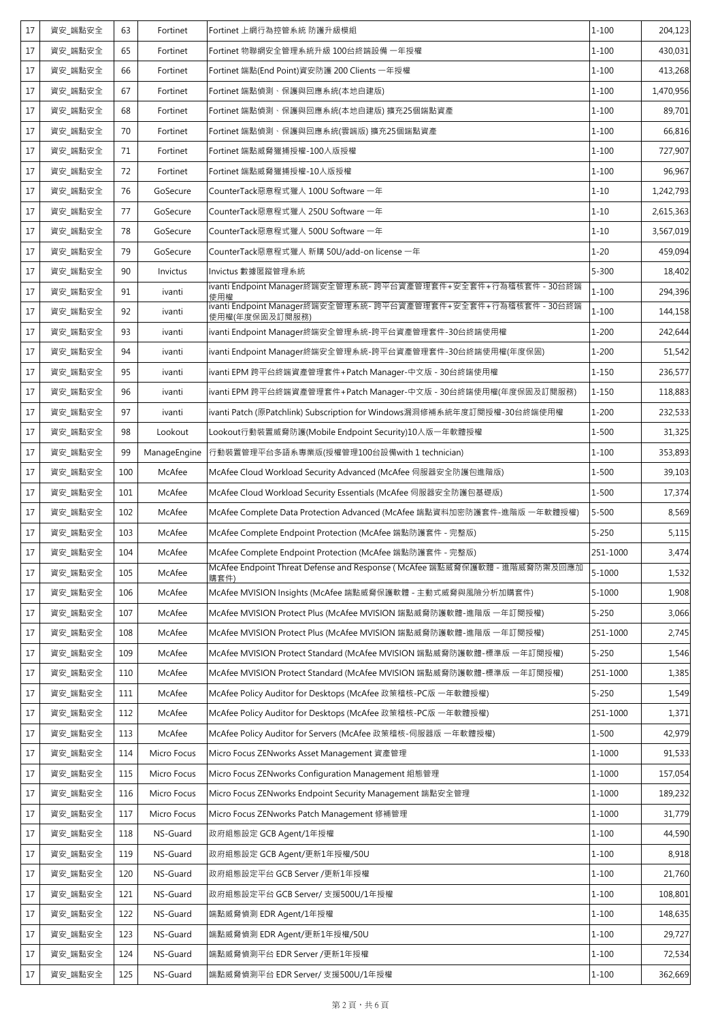| 17     | 資安_端點安全 | 63  | Fortinet     | Fortinet 上網行為控管系統 防護升級模組                                                          | $1 - 100$  | 204,123   |
|--------|---------|-----|--------------|-----------------------------------------------------------------------------------|------------|-----------|
| 17     | 資安_端點安全 | 65  | Fortinet     | Fortinet 物聯網安全管理系統升級 100台終端設備 一年授權                                                | $1 - 100$  | 430,031   |
| 17     | 資安_端點安全 | 66  | Fortinet     | Fortinet 端點(End Point)資安防護 200 Clients 一年授權                                       | $1 - 100$  | 413,268   |
| 17     | 資安_端點安全 | 67  | Fortinet     | Fortinet 端點偵測、保護與回應系統(本地自建版)                                                      | $1 - 100$  | 1,470,956 |
| 17     | 資安_端點安全 | 68  | Fortinet     | Fortinet 端點偵測、保護與回應系統(本地自建版) 擴充25個端點資產                                            | $1 - 100$  | 89,701    |
| 17     | 資安_端點安全 | 70  | Fortinet     | Fortinet 端點偵測、保護與回應系統(雲端版) 擴充25個端點資產                                              | $1 - 100$  | 66,816    |
| 17     | 資安_端點安全 | 71  | Fortinet     | Fortinet 端點威脅獵捕授權-100人版授權                                                         | $1 - 100$  | 727,907   |
| 17     | 資安_端點安全 | 72  | Fortinet     | Fortinet 端點威脅獵捕授權-10人版授權                                                          | $1 - 100$  | 96,967    |
| 17     | 資安_端點安全 | 76  | GoSecure     | CounterTack惡意程式獵人 100U Software 一年                                                | $1 - 10$   | 1,242,793 |
| 17     | 資安_端點安全 | 77  | GoSecure     | CounterTack惡意程式獵人 250U Software 一年                                                | $1 - 10$   | 2,615,363 |
| 17     | 資安_端點安全 | 78  | GoSecure     | CounterTack惡意程式獵人 500U Software 一年                                                | $1 - 10$   | 3,567,019 |
| 17     | 資安_端點安全 | 79  | GoSecure     | CounterTack惡意程式獵人 新購 50U/add-on license 一年                                        | $1 - 20$   | 459,094   |
| 17     | 資安 端點安全 | 90  | Invictus     | Invictus 數據匿蹤管理系統                                                                 | $5 - 300$  | 18,402    |
| 17     | 資安_端點安全 | 91  | ivanti       | ivanti Endpoint Manager終端安全管理系統- 跨平台資產管理套件+安全套件+行為稽核套件 - 30台終端<br>使用權             | $1 - 100$  | 294,396   |
| 17     | 資安_端點安全 | 92  | ivanti       | ivanti Endpoint Manager終端安全管理系統- 跨平台資產管理套件+安全套件+行為稽核套件 - 30台終端<br>使用權(年度保固及訂閱服務)  | $1 - 100$  | 144,158   |
| 17     | 資安_端點安全 | 93  | ivanti       | ivanti Endpoint Manager終端安全管理系統-跨平台資產管理套件-30台終端使用權                                | $1 - 200$  | 242,644   |
| 17     | 資安 端點安全 | 94  | ivanti       | ivanti Endpoint Manager終端安全管理系統-跨平台資產管理套件-30台終端使用權(年度保固)                          | $1 - 200$  | 51,542    |
| 17     | 資安_端點安全 | 95  | ivanti       | ivanti EPM 跨平台終端資產管理套件+Patch Manager-中文版 - 30台終端使用權                               | $1 - 150$  | 236,577   |
| 17     | 資安_端點安全 | 96  | ivanti       | ivanti EPM 跨平台終端資產管理套件+Patch Manager-中文版 - 30台終端使用權(年度保固及訂閱服務)                    | $1 - 150$  | 118,883   |
| 17     | 資安_端點安全 | 97  | ivanti       | ivanti Patch (原Patchlink) Subscription for Windows漏洞修補系統年度訂閱授權-30台終端使用權           | $1 - 200$  | 232,533   |
| 17     | 資安_端點安全 | 98  | Lookout      | Lookout行動裝置威脅防護(Mobile Endpoint Security)10人版一年軟體授權                               | 1-500      | 31,325    |
| 17     | 資安_端點安全 | 99  | ManageEngine | 行動裝置管理平台多語系專業版(授權管理100台設備with 1 technician)                                       | $1 - 100$  | 353,893   |
| 17     | 資安_端點安全 | 100 | McAfee       | McAfee Cloud Workload Security Advanced (McAfee 伺服器安全防護包進階版)                      | 1-500      | 39,103    |
| 17     | 資安_端點安全 | 101 | McAfee       | McAfee Cloud Workload Security Essentials (McAfee 伺服器安全防護包基礎版)                    | $1 - 500$  | 17,374    |
| 17     | 資安_端點安全 | 102 | McAfee       | McAfee Complete Data Protection Advanced (McAfee 端點資料加密防護套件-進階版 一年軟體授權)           | $5 - 500$  | 8,569     |
| 17     | 資安_端點安全 | 103 | McAfee       | McAfee Complete Endpoint Protection (McAfee 端點防護套件 - 完整版)                         | $5 - 250$  | 5,115     |
| 17     | 資安_端點安全 | 104 | McAfee       | McAfee Complete Endpoint Protection (McAfee 端點防護套件 - 完整版)                         | 251-1000   | 3,474     |
| 17     | 資安_端點安全 | 105 | McAfee       | McAfee Endpoint Threat Defense and Response (McAfee 端點威脅保護軟體 - 進階威脅防禦及回應加<br>購套件) | $5 - 1000$ | 1,532     |
| 17     | 資安_端點安全 | 106 | McAfee       | McAfee MVISION Insights (McAfee 端點威脅保護軟體 - 主動式威脅與風險分析加購套件)                        | $5 - 1000$ | 1,908     |
| $17\,$ | 資安_端點安全 | 107 | McAfee       | McAfee MVISION Protect Plus (McAfee MVISION 端點威脅防護軟體-進階版 一年訂閱授權)                  | $5 - 250$  | 3,066     |
| 17     | 資安_端點安全 | 108 | McAfee       | McAfee MVISION Protect Plus (McAfee MVISION 端點威脅防護軟體-進階版 一年訂閱授權)                  | 251-1000   | 2,745     |
| 17     | 資安_端點安全 | 109 | McAfee       | McAfee MVISION Protect Standard (McAfee MVISION 端點威脅防護軟體-標準版 一年訂閱授權)              | $5 - 250$  | 1,546     |
| 17     | 資安 端點安全 | 110 | McAfee       | McAfee MVISION Protect Standard (McAfee MVISION 端點威脅防護軟體-標準版 一年訂閱授權)              | 251-1000   | 1,385     |
| 17     | 資安_端點安全 | 111 | McAfee       | McAfee Policy Auditor for Desktops (McAfee 政策稽核-PC版 一年軟體授權)                       | $5 - 250$  | 1,549     |
| $17\,$ | 資安_端點安全 | 112 | McAfee       | McAfee Policy Auditor for Desktops (McAfee 政策稽核-PC版 一年軟體授權)                       | 251-1000   | 1,371     |
| 17     | 資安_端點安全 | 113 | McAfee       | McAfee Policy Auditor for Servers (McAfee 政策稽核-伺服器版 一年軟體授權)                       | 1-500      | 42,979    |
| 17     | 資安_端點安全 | 114 | Micro Focus  | Micro Focus ZENworks Asset Management 資產管理                                        | 1-1000     | 91,533    |
| 17     | 資安_端點安全 | 115 | Micro Focus  | Micro Focus ZENworks Configuration Management 組態管理                                | $1 - 1000$ | 157,054   |
| 17     | 資安_端點安全 | 116 | Micro Focus  | Micro Focus ZENworks Endpoint Security Management 端點安全管理                          | 1-1000     | 189,232   |
| 17     | 資安_端點安全 | 117 | Micro Focus  | Micro Focus ZENworks Patch Management 修補管理                                        | $1 - 1000$ | 31,779    |
| 17     | 資安_端點安全 | 118 | NS-Guard     | 政府組態設定 GCB Agent/1年授權                                                             | $1 - 100$  | 44,590    |
| 17     | 資安_端點安全 | 119 | NS-Guard     | 政府組態設定 GCB Agent/更新1年授權/50U                                                       | $1 - 100$  | 8,918     |
| 17     | 資安_端點安全 | 120 | NS-Guard     | 政府組態設定平台 GCB Server /更新1年授權                                                       | $1 - 100$  | 21,760    |
| 17     | 資安_端點安全 | 121 | NS-Guard     | 政府組態設定平台 GCB Server/ 支援500U/1年授權                                                  | $1 - 100$  | 108,801   |
| 17     | 資安_端點安全 | 122 | NS-Guard     | 端點威脅偵測 EDR Agent/1年授權                                                             | $1 - 100$  | 148,635   |
| 17     | 資安_端點安全 | 123 | NS-Guard     | 端點威脅偵測 EDR Agent/更新1年授權/50U                                                       | $1 - 100$  | 29,727    |
| 17     | 資安_端點安全 | 124 | NS-Guard     | 端點威脅偵測平台 EDR Server /更新1年授權                                                       | $1 - 100$  | 72,534    |
| 17     | 資安_端點安全 | 125 | NS-Guard     | 端點威脅偵測平台 EDR Server/ 支援500U/1年授權                                                  | $1 - 100$  | 362,669   |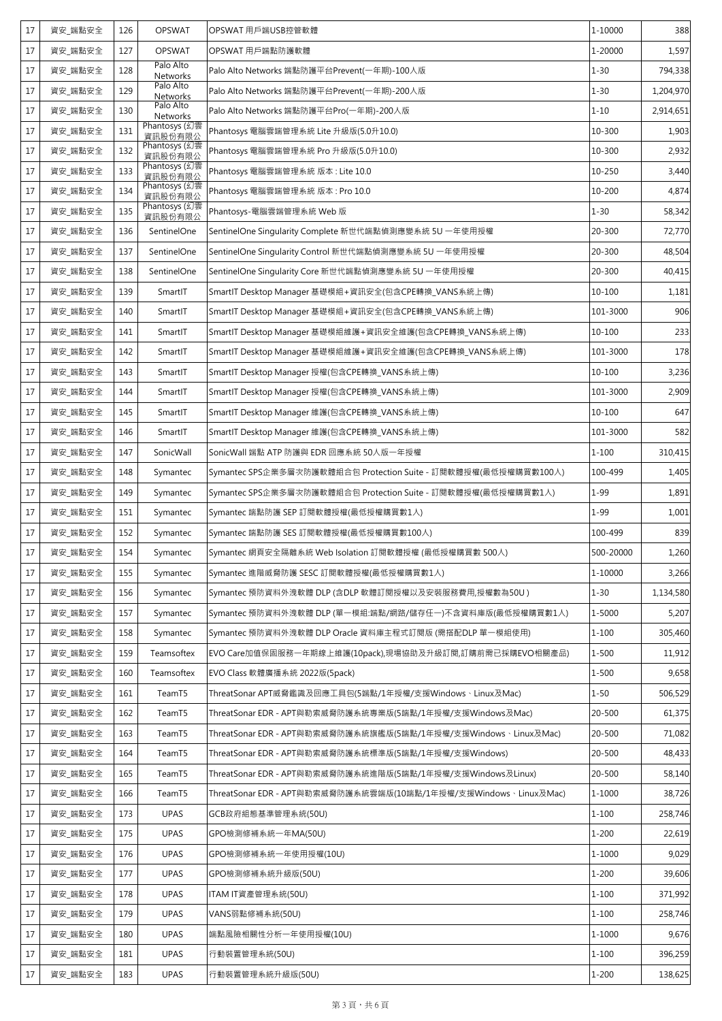| 1-20000<br>17<br>資安 端點安全<br><b>OPSWAT</b><br>OPSWAT 用戶端點防護軟體<br>127<br>Palo Alto<br>128<br>Palo Alto Networks 端點防護平台Prevent(一年期)-100人版<br>$1 - 30$<br>17<br>資安_端點安全<br>Networks<br>Palo Alto<br>$1 - 30$<br>17<br>資安_端點安全<br>129<br>Palo Alto Networks 端點防護平台Prevent(一年期)-200人版<br>Networks<br>Palo Alto<br>130<br>$1 - 10$<br>17<br>資安_端點安全<br>Palo Alto Networks 端點防護平台Pro(一年期)-200人版<br>Networks<br>Phantosys (幻雲<br>Phantosys 電腦雲端管理系統 Lite 升級版(5.0升10.0)<br>10-300<br>17<br>資安_端點安全<br>131<br>資訊股份有限公<br>Phantosys (幻雲<br>17<br>Phantosys 電腦雲端管理系統 Pro 升級版(5.0升10.0)<br>10-300<br>資安_端點安全<br>132<br>資訊股份有限公<br>Phantosys (幻雲<br>資安 端點安全<br>Phantosys 電腦雲端管理系統 版本: Lite 10.0<br>10-250<br>17<br>133<br>資訊股份有限公<br>Phantosys (幻雲<br>10-200<br>17<br>資安 端點安全<br>134<br>Phantosys 電腦雲端管理系統 版本: Pro 10.0<br>資訊股份有限公<br>Phantosys (幻雲<br>$1 - 30$<br>資安_端點安全<br>Phantosys-電腦雲端管理系統 Web 版<br>17<br>135<br>資訊股份有限公<br>17<br>SentinelOne<br>20-300<br>資安_端點安全<br>136<br>SentinelOne Singularity Complete 新世代端點偵測應變系統 5U 一年使用授權<br>17<br>資安_端點安全<br>137<br>SentinelOne<br>SentinelOne Singularity Control 新世代端點偵測應變系統 5U 一年使用授權<br>20-300<br>20-300<br>17<br>資安_端點安全<br>138<br>SentinelOne<br>SentinelOne Singularity Core 新世代端點偵測應變系統 5U 一年使用授權<br>資安_端點安全<br>10-100<br>17<br>139<br>SmartIT<br>SmartIT Desktop Manager 基礎模組+資訊安全(包含CPE轉換_VANS系統上傳)<br>17<br>資安 端點安全<br>140<br>SmartIT<br>SmartIT Desktop Manager 基礎模組+資訊安全(包含CPE轉換 VANS系統上傳)<br>101-3000<br>17<br>資安_端點安全<br>SmartIT<br>SmartIT Desktop Manager 基礎模組維護+資訊安全維護(包含CPE轉換_VANS系統上傳)<br>10-100<br>141<br>17<br>資安_端點安全<br>142<br>SmartIT<br>SmartIT Desktop Manager 基礎模組維護+資訊安全維護(包含CPE轉換_VANS系統上傳)<br>101-3000<br>17<br>資安_端點安全<br>143<br>SmartIT<br>SmartIT Desktop Manager 授權(包含CPE轉換_VANS系統上傳)<br>10-100<br>17<br>資安_端點安全<br>144<br>SmartIT<br>SmartIT Desktop Manager 授權(包含CPE轉換_VANS系統上傳)<br>101-3000<br>17<br>資安_端點安全<br>145<br>SmartIT<br>SmartIT Desktop Manager 維護(包含CPE轉換_VANS系統上傳)<br>10-100<br>17<br>資安_端點安全<br>146<br>SmartIT<br>SmartIT Desktop Manager 維護(包含CPE轉換_VANS系統上傳)<br>101-3000<br>$1 - 100$<br>17<br>資安_端點安全<br>147<br>SonicWall<br>SonicWall 端點 ATP 防護與 EDR 回應系統 50人版一年授權<br>17<br>資安_端點安全<br>148<br>Symantec SPS企業多層次防護軟體組合包 Protection Suite - 訂閱軟體授權(最低授權購買數100人)<br>100-499<br>Symantec<br>$1 - 99$<br>17<br>資安_端點安全<br>149<br>Symantec<br>Symantec SPS企業多層次防護軟體組合包 Protection Suite - 訂閱軟體授權(最低授權購買數1人)<br>17<br>資安_端點安全<br>$1 - 99$<br>151<br>Symantec<br>Symantec 端點防護 SEP 訂閱軟體授權(最低授權購買數1人)<br>100-499<br>17<br>資安_端點安全<br>152<br>Symantec 端點防護 SES 訂閱軟體授權(最低授權購買數100人)<br>Symantec<br>$17\,$<br>資安 端點安全<br>500-20000<br>154<br>Symantec 網頁安全隔離系統 Web Isolation 訂閱軟體授權 (最低授權購買數 500人)<br>Symantec<br>17<br>資安_端點安全<br>155<br>1-10000<br>Symantec<br>Symantec 進階威脅防護 SESC 訂閱軟體授權(最低授權購買數1人)<br>17<br>資安_端點安全<br>Symantec 預防資料外洩軟體 DLP (含DLP 軟體訂閱授權以及安裝服務費用,授權數為50U)<br>156<br>Symantec<br>$1 - 30$<br>Symantec 預防資料外洩軟體 DLP (單一模組:端點/網路/儲存任一)不含資料庫版(最低授權購買數1人)<br>17<br>資安_端點安全<br>157<br>1-5000<br>Symantec<br>$1 - 100$<br>17<br>資安_端點安全<br>Symantec 預防資料外洩軟體 DLP Oracle 資料庫主程式訂閱版 (需搭配DLP 單一模組使用)<br>158<br>Symantec<br>17<br>資安 端點安全<br>159<br>Teamsoftex<br>EVO Care加值保固服務一年期線上維護(10pack),現場協助及升級訂閱,訂購前需已採購EVO相關產品)<br>1-500<br>17<br>資安_端點安全<br>Teamsoftex<br>EVO Class 軟體廣播系統 2022版(5pack)<br>$1 - 500$<br>160<br>$1 - 50$<br>17<br>資安_端點安全<br>TeamT5<br>ThreatSonar APT威脅鑑識及回應工具包(5端點/1年授權/支援Windows、Linux及Mac)<br>161<br>資安_端點安全<br>20-500<br>17<br>TeamT5<br>ThreatSonar EDR - APT與勒索威脅防護系統專業版(5端點/1年授權/支援Windows及Mac)<br>162<br>17<br>資安_端點安全<br>TeamT5<br>ThreatSonar EDR - APT與勒索威脅防護系統旗艦版(5端點/1年授權/支援Windows、Linux及Mac)<br>20-500<br>163<br>17<br>資安_端點安全<br>TeamT5<br>ThreatSonar EDR - APT與勒索威脅防護系統標準版(5端點/1年授權/支援Windows)<br>20-500<br>164<br>17<br>資安_端點安全<br>20-500<br>165<br>TeamT5<br>ThreatSonar EDR - APT與勒索威脅防護系統進階版(5端點/1年授權/支援Windows及Linux)<br>資安_端點安全<br>$1 - 1000$<br>17<br>ThreatSonar EDR - APT與勒索威脅防護系統雲端版(10端點/1年授權/支援Windows、Linux及Mac)<br>166<br>TeamT5<br>17<br>資安_端點安全<br><b>UPAS</b><br>$1 - 100$<br>173<br>GCB政府組態基準管理系統(50U)<br>17<br>資安_端點安全<br><b>UPAS</b><br>GPO檢測修補系統一年MA(50U)<br>$1 - 200$<br>175<br>17<br>資安_端點安全<br><b>UPAS</b><br>GPO檢測修補系統一年使用授權(10U)<br>1-1000<br>176<br>17<br>資安_端點安全<br><b>UPAS</b><br>GPO檢測修補系統升級版(50U)<br>$1 - 200$<br>177<br>17<br>資安_端點安全<br><b>UPAS</b><br>ITAM IT資產管理系統(50U)<br>$1 - 100$<br>178<br>17<br>資安_端點安全<br><b>UPAS</b><br>VANS弱點修補系統(50U)<br>$1 - 100$<br>179<br>$1 - 1000$<br>17<br>資安_端點安全<br><b>UPAS</b><br>端點風險相關性分析一年使用授權(10U)<br>180<br>$1 - 100$<br>17<br>資安_端點安全<br><b>UPAS</b><br>行動裝置管理系統(50U)<br>181<br><b>UPAS</b><br>$1 - 200$<br>183<br>行動裝置管理系統升級版(50U) | 17     | 資安_端點安全 | 126 | <b>OPSWAT</b> | OPSWAT 用戶端USB控管軟體 | 1-10000 | 388       |
|-----------------------------------------------------------------------------------------------------------------------------------------------------------------------------------------------------------------------------------------------------------------------------------------------------------------------------------------------------------------------------------------------------------------------------------------------------------------------------------------------------------------------------------------------------------------------------------------------------------------------------------------------------------------------------------------------------------------------------------------------------------------------------------------------------------------------------------------------------------------------------------------------------------------------------------------------------------------------------------------------------------------------------------------------------------------------------------------------------------------------------------------------------------------------------------------------------------------------------------------------------------------------------------------------------------------------------------------------------------------------------------------------------------------------------------------------------------------------------------------------------------------------------------------------------------------------------------------------------------------------------------------------------------------------------------------------------------------------------------------------------------------------------------------------------------------------------------------------------------------------------------------------------------------------------------------------------------------------------------------------------------------------------------------------------------------------------------------------------------------------------------------------------------------------------------------------------------------------------------------------------------------------------------------------------------------------------------------------------------------------------------------------------------------------------------------------------------------------------------------------------------------------------------------------------------------------------------------------------------------------------------------------------------------------------------------------------------------------------------------------------------------------------------------------------------------------------------------------------------------------------------------------------------------------------------------------------------------------------------------------------------------------------------------------------------------------------------------------------------------------------------------------------------------------------------------------------------------------------------------------------------------------------------------------------------------------------------------------------------------------------------------------------------------------------------------------------------------------------------------------------------------------------------------------------------------------------------------------------------------------------------------------------------------------------------------------------------------------------------------------------------------------------------------------------------------------------------------------------------------------------------------------------------------------------------------------------------------------------------------------------------------------------------------------------------------------------------------------------------------------------------------------------------------------------------------------------------------------------------------------------------------------------------------------------------------------------------------------------------------------------------------------------------------------------------------------------------------------------------------------------------------------------------------------------------------------------------------------------------------------------------------------------|--------|---------|-----|---------------|-------------------|---------|-----------|
|                                                                                                                                                                                                                                                                                                                                                                                                                                                                                                                                                                                                                                                                                                                                                                                                                                                                                                                                                                                                                                                                                                                                                                                                                                                                                                                                                                                                                                                                                                                                                                                                                                                                                                                                                                                                                                                                                                                                                                                                                                                                                                                                                                                                                                                                                                                                                                                                                                                                                                                                                                                                                                                                                                                                                                                                                                                                                                                                                                                                                                                                                                                                                                                                                                                                                                                                                                                                                                                                                                                                                                                                                                                                                                                                                                                                                                                                                                                                                                                                                                                                                                                                                                                                                                                                                                                                                                                                                                                                                                                                                                                                                                                     |        |         |     |               |                   |         | 1,597     |
|                                                                                                                                                                                                                                                                                                                                                                                                                                                                                                                                                                                                                                                                                                                                                                                                                                                                                                                                                                                                                                                                                                                                                                                                                                                                                                                                                                                                                                                                                                                                                                                                                                                                                                                                                                                                                                                                                                                                                                                                                                                                                                                                                                                                                                                                                                                                                                                                                                                                                                                                                                                                                                                                                                                                                                                                                                                                                                                                                                                                                                                                                                                                                                                                                                                                                                                                                                                                                                                                                                                                                                                                                                                                                                                                                                                                                                                                                                                                                                                                                                                                                                                                                                                                                                                                                                                                                                                                                                                                                                                                                                                                                                                     |        |         |     |               |                   |         | 794,338   |
|                                                                                                                                                                                                                                                                                                                                                                                                                                                                                                                                                                                                                                                                                                                                                                                                                                                                                                                                                                                                                                                                                                                                                                                                                                                                                                                                                                                                                                                                                                                                                                                                                                                                                                                                                                                                                                                                                                                                                                                                                                                                                                                                                                                                                                                                                                                                                                                                                                                                                                                                                                                                                                                                                                                                                                                                                                                                                                                                                                                                                                                                                                                                                                                                                                                                                                                                                                                                                                                                                                                                                                                                                                                                                                                                                                                                                                                                                                                                                                                                                                                                                                                                                                                                                                                                                                                                                                                                                                                                                                                                                                                                                                                     |        |         |     |               |                   |         | 1,204,970 |
|                                                                                                                                                                                                                                                                                                                                                                                                                                                                                                                                                                                                                                                                                                                                                                                                                                                                                                                                                                                                                                                                                                                                                                                                                                                                                                                                                                                                                                                                                                                                                                                                                                                                                                                                                                                                                                                                                                                                                                                                                                                                                                                                                                                                                                                                                                                                                                                                                                                                                                                                                                                                                                                                                                                                                                                                                                                                                                                                                                                                                                                                                                                                                                                                                                                                                                                                                                                                                                                                                                                                                                                                                                                                                                                                                                                                                                                                                                                                                                                                                                                                                                                                                                                                                                                                                                                                                                                                                                                                                                                                                                                                                                                     |        |         |     |               |                   |         | 2,914,651 |
|                                                                                                                                                                                                                                                                                                                                                                                                                                                                                                                                                                                                                                                                                                                                                                                                                                                                                                                                                                                                                                                                                                                                                                                                                                                                                                                                                                                                                                                                                                                                                                                                                                                                                                                                                                                                                                                                                                                                                                                                                                                                                                                                                                                                                                                                                                                                                                                                                                                                                                                                                                                                                                                                                                                                                                                                                                                                                                                                                                                                                                                                                                                                                                                                                                                                                                                                                                                                                                                                                                                                                                                                                                                                                                                                                                                                                                                                                                                                                                                                                                                                                                                                                                                                                                                                                                                                                                                                                                                                                                                                                                                                                                                     |        |         |     |               |                   |         | 1,903     |
|                                                                                                                                                                                                                                                                                                                                                                                                                                                                                                                                                                                                                                                                                                                                                                                                                                                                                                                                                                                                                                                                                                                                                                                                                                                                                                                                                                                                                                                                                                                                                                                                                                                                                                                                                                                                                                                                                                                                                                                                                                                                                                                                                                                                                                                                                                                                                                                                                                                                                                                                                                                                                                                                                                                                                                                                                                                                                                                                                                                                                                                                                                                                                                                                                                                                                                                                                                                                                                                                                                                                                                                                                                                                                                                                                                                                                                                                                                                                                                                                                                                                                                                                                                                                                                                                                                                                                                                                                                                                                                                                                                                                                                                     |        |         |     |               |                   |         | 2,932     |
|                                                                                                                                                                                                                                                                                                                                                                                                                                                                                                                                                                                                                                                                                                                                                                                                                                                                                                                                                                                                                                                                                                                                                                                                                                                                                                                                                                                                                                                                                                                                                                                                                                                                                                                                                                                                                                                                                                                                                                                                                                                                                                                                                                                                                                                                                                                                                                                                                                                                                                                                                                                                                                                                                                                                                                                                                                                                                                                                                                                                                                                                                                                                                                                                                                                                                                                                                                                                                                                                                                                                                                                                                                                                                                                                                                                                                                                                                                                                                                                                                                                                                                                                                                                                                                                                                                                                                                                                                                                                                                                                                                                                                                                     |        |         |     |               |                   |         | 3,440     |
|                                                                                                                                                                                                                                                                                                                                                                                                                                                                                                                                                                                                                                                                                                                                                                                                                                                                                                                                                                                                                                                                                                                                                                                                                                                                                                                                                                                                                                                                                                                                                                                                                                                                                                                                                                                                                                                                                                                                                                                                                                                                                                                                                                                                                                                                                                                                                                                                                                                                                                                                                                                                                                                                                                                                                                                                                                                                                                                                                                                                                                                                                                                                                                                                                                                                                                                                                                                                                                                                                                                                                                                                                                                                                                                                                                                                                                                                                                                                                                                                                                                                                                                                                                                                                                                                                                                                                                                                                                                                                                                                                                                                                                                     |        |         |     |               |                   |         | 4,874     |
|                                                                                                                                                                                                                                                                                                                                                                                                                                                                                                                                                                                                                                                                                                                                                                                                                                                                                                                                                                                                                                                                                                                                                                                                                                                                                                                                                                                                                                                                                                                                                                                                                                                                                                                                                                                                                                                                                                                                                                                                                                                                                                                                                                                                                                                                                                                                                                                                                                                                                                                                                                                                                                                                                                                                                                                                                                                                                                                                                                                                                                                                                                                                                                                                                                                                                                                                                                                                                                                                                                                                                                                                                                                                                                                                                                                                                                                                                                                                                                                                                                                                                                                                                                                                                                                                                                                                                                                                                                                                                                                                                                                                                                                     |        |         |     |               |                   |         | 58,342    |
|                                                                                                                                                                                                                                                                                                                                                                                                                                                                                                                                                                                                                                                                                                                                                                                                                                                                                                                                                                                                                                                                                                                                                                                                                                                                                                                                                                                                                                                                                                                                                                                                                                                                                                                                                                                                                                                                                                                                                                                                                                                                                                                                                                                                                                                                                                                                                                                                                                                                                                                                                                                                                                                                                                                                                                                                                                                                                                                                                                                                                                                                                                                                                                                                                                                                                                                                                                                                                                                                                                                                                                                                                                                                                                                                                                                                                                                                                                                                                                                                                                                                                                                                                                                                                                                                                                                                                                                                                                                                                                                                                                                                                                                     |        |         |     |               |                   |         | 72,770    |
|                                                                                                                                                                                                                                                                                                                                                                                                                                                                                                                                                                                                                                                                                                                                                                                                                                                                                                                                                                                                                                                                                                                                                                                                                                                                                                                                                                                                                                                                                                                                                                                                                                                                                                                                                                                                                                                                                                                                                                                                                                                                                                                                                                                                                                                                                                                                                                                                                                                                                                                                                                                                                                                                                                                                                                                                                                                                                                                                                                                                                                                                                                                                                                                                                                                                                                                                                                                                                                                                                                                                                                                                                                                                                                                                                                                                                                                                                                                                                                                                                                                                                                                                                                                                                                                                                                                                                                                                                                                                                                                                                                                                                                                     |        |         |     |               |                   |         | 48,504    |
|                                                                                                                                                                                                                                                                                                                                                                                                                                                                                                                                                                                                                                                                                                                                                                                                                                                                                                                                                                                                                                                                                                                                                                                                                                                                                                                                                                                                                                                                                                                                                                                                                                                                                                                                                                                                                                                                                                                                                                                                                                                                                                                                                                                                                                                                                                                                                                                                                                                                                                                                                                                                                                                                                                                                                                                                                                                                                                                                                                                                                                                                                                                                                                                                                                                                                                                                                                                                                                                                                                                                                                                                                                                                                                                                                                                                                                                                                                                                                                                                                                                                                                                                                                                                                                                                                                                                                                                                                                                                                                                                                                                                                                                     |        |         |     |               |                   |         | 40,415    |
|                                                                                                                                                                                                                                                                                                                                                                                                                                                                                                                                                                                                                                                                                                                                                                                                                                                                                                                                                                                                                                                                                                                                                                                                                                                                                                                                                                                                                                                                                                                                                                                                                                                                                                                                                                                                                                                                                                                                                                                                                                                                                                                                                                                                                                                                                                                                                                                                                                                                                                                                                                                                                                                                                                                                                                                                                                                                                                                                                                                                                                                                                                                                                                                                                                                                                                                                                                                                                                                                                                                                                                                                                                                                                                                                                                                                                                                                                                                                                                                                                                                                                                                                                                                                                                                                                                                                                                                                                                                                                                                                                                                                                                                     |        |         |     |               |                   |         | 1,181     |
|                                                                                                                                                                                                                                                                                                                                                                                                                                                                                                                                                                                                                                                                                                                                                                                                                                                                                                                                                                                                                                                                                                                                                                                                                                                                                                                                                                                                                                                                                                                                                                                                                                                                                                                                                                                                                                                                                                                                                                                                                                                                                                                                                                                                                                                                                                                                                                                                                                                                                                                                                                                                                                                                                                                                                                                                                                                                                                                                                                                                                                                                                                                                                                                                                                                                                                                                                                                                                                                                                                                                                                                                                                                                                                                                                                                                                                                                                                                                                                                                                                                                                                                                                                                                                                                                                                                                                                                                                                                                                                                                                                                                                                                     |        |         |     |               |                   |         | 906       |
|                                                                                                                                                                                                                                                                                                                                                                                                                                                                                                                                                                                                                                                                                                                                                                                                                                                                                                                                                                                                                                                                                                                                                                                                                                                                                                                                                                                                                                                                                                                                                                                                                                                                                                                                                                                                                                                                                                                                                                                                                                                                                                                                                                                                                                                                                                                                                                                                                                                                                                                                                                                                                                                                                                                                                                                                                                                                                                                                                                                                                                                                                                                                                                                                                                                                                                                                                                                                                                                                                                                                                                                                                                                                                                                                                                                                                                                                                                                                                                                                                                                                                                                                                                                                                                                                                                                                                                                                                                                                                                                                                                                                                                                     |        |         |     |               |                   |         | 233       |
|                                                                                                                                                                                                                                                                                                                                                                                                                                                                                                                                                                                                                                                                                                                                                                                                                                                                                                                                                                                                                                                                                                                                                                                                                                                                                                                                                                                                                                                                                                                                                                                                                                                                                                                                                                                                                                                                                                                                                                                                                                                                                                                                                                                                                                                                                                                                                                                                                                                                                                                                                                                                                                                                                                                                                                                                                                                                                                                                                                                                                                                                                                                                                                                                                                                                                                                                                                                                                                                                                                                                                                                                                                                                                                                                                                                                                                                                                                                                                                                                                                                                                                                                                                                                                                                                                                                                                                                                                                                                                                                                                                                                                                                     |        |         |     |               |                   |         | 178       |
|                                                                                                                                                                                                                                                                                                                                                                                                                                                                                                                                                                                                                                                                                                                                                                                                                                                                                                                                                                                                                                                                                                                                                                                                                                                                                                                                                                                                                                                                                                                                                                                                                                                                                                                                                                                                                                                                                                                                                                                                                                                                                                                                                                                                                                                                                                                                                                                                                                                                                                                                                                                                                                                                                                                                                                                                                                                                                                                                                                                                                                                                                                                                                                                                                                                                                                                                                                                                                                                                                                                                                                                                                                                                                                                                                                                                                                                                                                                                                                                                                                                                                                                                                                                                                                                                                                                                                                                                                                                                                                                                                                                                                                                     |        |         |     |               |                   |         | 3,236     |
|                                                                                                                                                                                                                                                                                                                                                                                                                                                                                                                                                                                                                                                                                                                                                                                                                                                                                                                                                                                                                                                                                                                                                                                                                                                                                                                                                                                                                                                                                                                                                                                                                                                                                                                                                                                                                                                                                                                                                                                                                                                                                                                                                                                                                                                                                                                                                                                                                                                                                                                                                                                                                                                                                                                                                                                                                                                                                                                                                                                                                                                                                                                                                                                                                                                                                                                                                                                                                                                                                                                                                                                                                                                                                                                                                                                                                                                                                                                                                                                                                                                                                                                                                                                                                                                                                                                                                                                                                                                                                                                                                                                                                                                     |        |         |     |               |                   |         | 2,909     |
|                                                                                                                                                                                                                                                                                                                                                                                                                                                                                                                                                                                                                                                                                                                                                                                                                                                                                                                                                                                                                                                                                                                                                                                                                                                                                                                                                                                                                                                                                                                                                                                                                                                                                                                                                                                                                                                                                                                                                                                                                                                                                                                                                                                                                                                                                                                                                                                                                                                                                                                                                                                                                                                                                                                                                                                                                                                                                                                                                                                                                                                                                                                                                                                                                                                                                                                                                                                                                                                                                                                                                                                                                                                                                                                                                                                                                                                                                                                                                                                                                                                                                                                                                                                                                                                                                                                                                                                                                                                                                                                                                                                                                                                     |        |         |     |               |                   |         | 647       |
|                                                                                                                                                                                                                                                                                                                                                                                                                                                                                                                                                                                                                                                                                                                                                                                                                                                                                                                                                                                                                                                                                                                                                                                                                                                                                                                                                                                                                                                                                                                                                                                                                                                                                                                                                                                                                                                                                                                                                                                                                                                                                                                                                                                                                                                                                                                                                                                                                                                                                                                                                                                                                                                                                                                                                                                                                                                                                                                                                                                                                                                                                                                                                                                                                                                                                                                                                                                                                                                                                                                                                                                                                                                                                                                                                                                                                                                                                                                                                                                                                                                                                                                                                                                                                                                                                                                                                                                                                                                                                                                                                                                                                                                     |        |         |     |               |                   |         | 582       |
|                                                                                                                                                                                                                                                                                                                                                                                                                                                                                                                                                                                                                                                                                                                                                                                                                                                                                                                                                                                                                                                                                                                                                                                                                                                                                                                                                                                                                                                                                                                                                                                                                                                                                                                                                                                                                                                                                                                                                                                                                                                                                                                                                                                                                                                                                                                                                                                                                                                                                                                                                                                                                                                                                                                                                                                                                                                                                                                                                                                                                                                                                                                                                                                                                                                                                                                                                                                                                                                                                                                                                                                                                                                                                                                                                                                                                                                                                                                                                                                                                                                                                                                                                                                                                                                                                                                                                                                                                                                                                                                                                                                                                                                     |        |         |     |               |                   |         | 310,415   |
|                                                                                                                                                                                                                                                                                                                                                                                                                                                                                                                                                                                                                                                                                                                                                                                                                                                                                                                                                                                                                                                                                                                                                                                                                                                                                                                                                                                                                                                                                                                                                                                                                                                                                                                                                                                                                                                                                                                                                                                                                                                                                                                                                                                                                                                                                                                                                                                                                                                                                                                                                                                                                                                                                                                                                                                                                                                                                                                                                                                                                                                                                                                                                                                                                                                                                                                                                                                                                                                                                                                                                                                                                                                                                                                                                                                                                                                                                                                                                                                                                                                                                                                                                                                                                                                                                                                                                                                                                                                                                                                                                                                                                                                     |        |         |     |               |                   |         | 1,405     |
|                                                                                                                                                                                                                                                                                                                                                                                                                                                                                                                                                                                                                                                                                                                                                                                                                                                                                                                                                                                                                                                                                                                                                                                                                                                                                                                                                                                                                                                                                                                                                                                                                                                                                                                                                                                                                                                                                                                                                                                                                                                                                                                                                                                                                                                                                                                                                                                                                                                                                                                                                                                                                                                                                                                                                                                                                                                                                                                                                                                                                                                                                                                                                                                                                                                                                                                                                                                                                                                                                                                                                                                                                                                                                                                                                                                                                                                                                                                                                                                                                                                                                                                                                                                                                                                                                                                                                                                                                                                                                                                                                                                                                                                     |        |         |     |               |                   |         | 1,891     |
|                                                                                                                                                                                                                                                                                                                                                                                                                                                                                                                                                                                                                                                                                                                                                                                                                                                                                                                                                                                                                                                                                                                                                                                                                                                                                                                                                                                                                                                                                                                                                                                                                                                                                                                                                                                                                                                                                                                                                                                                                                                                                                                                                                                                                                                                                                                                                                                                                                                                                                                                                                                                                                                                                                                                                                                                                                                                                                                                                                                                                                                                                                                                                                                                                                                                                                                                                                                                                                                                                                                                                                                                                                                                                                                                                                                                                                                                                                                                                                                                                                                                                                                                                                                                                                                                                                                                                                                                                                                                                                                                                                                                                                                     |        |         |     |               |                   |         | 1,001     |
|                                                                                                                                                                                                                                                                                                                                                                                                                                                                                                                                                                                                                                                                                                                                                                                                                                                                                                                                                                                                                                                                                                                                                                                                                                                                                                                                                                                                                                                                                                                                                                                                                                                                                                                                                                                                                                                                                                                                                                                                                                                                                                                                                                                                                                                                                                                                                                                                                                                                                                                                                                                                                                                                                                                                                                                                                                                                                                                                                                                                                                                                                                                                                                                                                                                                                                                                                                                                                                                                                                                                                                                                                                                                                                                                                                                                                                                                                                                                                                                                                                                                                                                                                                                                                                                                                                                                                                                                                                                                                                                                                                                                                                                     |        |         |     |               |                   |         | 839       |
|                                                                                                                                                                                                                                                                                                                                                                                                                                                                                                                                                                                                                                                                                                                                                                                                                                                                                                                                                                                                                                                                                                                                                                                                                                                                                                                                                                                                                                                                                                                                                                                                                                                                                                                                                                                                                                                                                                                                                                                                                                                                                                                                                                                                                                                                                                                                                                                                                                                                                                                                                                                                                                                                                                                                                                                                                                                                                                                                                                                                                                                                                                                                                                                                                                                                                                                                                                                                                                                                                                                                                                                                                                                                                                                                                                                                                                                                                                                                                                                                                                                                                                                                                                                                                                                                                                                                                                                                                                                                                                                                                                                                                                                     |        |         |     |               |                   |         | 1,260     |
|                                                                                                                                                                                                                                                                                                                                                                                                                                                                                                                                                                                                                                                                                                                                                                                                                                                                                                                                                                                                                                                                                                                                                                                                                                                                                                                                                                                                                                                                                                                                                                                                                                                                                                                                                                                                                                                                                                                                                                                                                                                                                                                                                                                                                                                                                                                                                                                                                                                                                                                                                                                                                                                                                                                                                                                                                                                                                                                                                                                                                                                                                                                                                                                                                                                                                                                                                                                                                                                                                                                                                                                                                                                                                                                                                                                                                                                                                                                                                                                                                                                                                                                                                                                                                                                                                                                                                                                                                                                                                                                                                                                                                                                     |        |         |     |               |                   |         | 3,266     |
|                                                                                                                                                                                                                                                                                                                                                                                                                                                                                                                                                                                                                                                                                                                                                                                                                                                                                                                                                                                                                                                                                                                                                                                                                                                                                                                                                                                                                                                                                                                                                                                                                                                                                                                                                                                                                                                                                                                                                                                                                                                                                                                                                                                                                                                                                                                                                                                                                                                                                                                                                                                                                                                                                                                                                                                                                                                                                                                                                                                                                                                                                                                                                                                                                                                                                                                                                                                                                                                                                                                                                                                                                                                                                                                                                                                                                                                                                                                                                                                                                                                                                                                                                                                                                                                                                                                                                                                                                                                                                                                                                                                                                                                     |        |         |     |               |                   |         | 1,134,580 |
|                                                                                                                                                                                                                                                                                                                                                                                                                                                                                                                                                                                                                                                                                                                                                                                                                                                                                                                                                                                                                                                                                                                                                                                                                                                                                                                                                                                                                                                                                                                                                                                                                                                                                                                                                                                                                                                                                                                                                                                                                                                                                                                                                                                                                                                                                                                                                                                                                                                                                                                                                                                                                                                                                                                                                                                                                                                                                                                                                                                                                                                                                                                                                                                                                                                                                                                                                                                                                                                                                                                                                                                                                                                                                                                                                                                                                                                                                                                                                                                                                                                                                                                                                                                                                                                                                                                                                                                                                                                                                                                                                                                                                                                     |        |         |     |               |                   |         | 5,207     |
|                                                                                                                                                                                                                                                                                                                                                                                                                                                                                                                                                                                                                                                                                                                                                                                                                                                                                                                                                                                                                                                                                                                                                                                                                                                                                                                                                                                                                                                                                                                                                                                                                                                                                                                                                                                                                                                                                                                                                                                                                                                                                                                                                                                                                                                                                                                                                                                                                                                                                                                                                                                                                                                                                                                                                                                                                                                                                                                                                                                                                                                                                                                                                                                                                                                                                                                                                                                                                                                                                                                                                                                                                                                                                                                                                                                                                                                                                                                                                                                                                                                                                                                                                                                                                                                                                                                                                                                                                                                                                                                                                                                                                                                     |        |         |     |               |                   |         | 305,460   |
|                                                                                                                                                                                                                                                                                                                                                                                                                                                                                                                                                                                                                                                                                                                                                                                                                                                                                                                                                                                                                                                                                                                                                                                                                                                                                                                                                                                                                                                                                                                                                                                                                                                                                                                                                                                                                                                                                                                                                                                                                                                                                                                                                                                                                                                                                                                                                                                                                                                                                                                                                                                                                                                                                                                                                                                                                                                                                                                                                                                                                                                                                                                                                                                                                                                                                                                                                                                                                                                                                                                                                                                                                                                                                                                                                                                                                                                                                                                                                                                                                                                                                                                                                                                                                                                                                                                                                                                                                                                                                                                                                                                                                                                     |        |         |     |               |                   |         | 11,912    |
|                                                                                                                                                                                                                                                                                                                                                                                                                                                                                                                                                                                                                                                                                                                                                                                                                                                                                                                                                                                                                                                                                                                                                                                                                                                                                                                                                                                                                                                                                                                                                                                                                                                                                                                                                                                                                                                                                                                                                                                                                                                                                                                                                                                                                                                                                                                                                                                                                                                                                                                                                                                                                                                                                                                                                                                                                                                                                                                                                                                                                                                                                                                                                                                                                                                                                                                                                                                                                                                                                                                                                                                                                                                                                                                                                                                                                                                                                                                                                                                                                                                                                                                                                                                                                                                                                                                                                                                                                                                                                                                                                                                                                                                     |        |         |     |               |                   |         | 9,658     |
|                                                                                                                                                                                                                                                                                                                                                                                                                                                                                                                                                                                                                                                                                                                                                                                                                                                                                                                                                                                                                                                                                                                                                                                                                                                                                                                                                                                                                                                                                                                                                                                                                                                                                                                                                                                                                                                                                                                                                                                                                                                                                                                                                                                                                                                                                                                                                                                                                                                                                                                                                                                                                                                                                                                                                                                                                                                                                                                                                                                                                                                                                                                                                                                                                                                                                                                                                                                                                                                                                                                                                                                                                                                                                                                                                                                                                                                                                                                                                                                                                                                                                                                                                                                                                                                                                                                                                                                                                                                                                                                                                                                                                                                     |        |         |     |               |                   |         | 506,529   |
|                                                                                                                                                                                                                                                                                                                                                                                                                                                                                                                                                                                                                                                                                                                                                                                                                                                                                                                                                                                                                                                                                                                                                                                                                                                                                                                                                                                                                                                                                                                                                                                                                                                                                                                                                                                                                                                                                                                                                                                                                                                                                                                                                                                                                                                                                                                                                                                                                                                                                                                                                                                                                                                                                                                                                                                                                                                                                                                                                                                                                                                                                                                                                                                                                                                                                                                                                                                                                                                                                                                                                                                                                                                                                                                                                                                                                                                                                                                                                                                                                                                                                                                                                                                                                                                                                                                                                                                                                                                                                                                                                                                                                                                     |        |         |     |               |                   |         | 61,375    |
|                                                                                                                                                                                                                                                                                                                                                                                                                                                                                                                                                                                                                                                                                                                                                                                                                                                                                                                                                                                                                                                                                                                                                                                                                                                                                                                                                                                                                                                                                                                                                                                                                                                                                                                                                                                                                                                                                                                                                                                                                                                                                                                                                                                                                                                                                                                                                                                                                                                                                                                                                                                                                                                                                                                                                                                                                                                                                                                                                                                                                                                                                                                                                                                                                                                                                                                                                                                                                                                                                                                                                                                                                                                                                                                                                                                                                                                                                                                                                                                                                                                                                                                                                                                                                                                                                                                                                                                                                                                                                                                                                                                                                                                     |        |         |     |               |                   |         | 71,082    |
|                                                                                                                                                                                                                                                                                                                                                                                                                                                                                                                                                                                                                                                                                                                                                                                                                                                                                                                                                                                                                                                                                                                                                                                                                                                                                                                                                                                                                                                                                                                                                                                                                                                                                                                                                                                                                                                                                                                                                                                                                                                                                                                                                                                                                                                                                                                                                                                                                                                                                                                                                                                                                                                                                                                                                                                                                                                                                                                                                                                                                                                                                                                                                                                                                                                                                                                                                                                                                                                                                                                                                                                                                                                                                                                                                                                                                                                                                                                                                                                                                                                                                                                                                                                                                                                                                                                                                                                                                                                                                                                                                                                                                                                     |        |         |     |               |                   |         | 48,433    |
|                                                                                                                                                                                                                                                                                                                                                                                                                                                                                                                                                                                                                                                                                                                                                                                                                                                                                                                                                                                                                                                                                                                                                                                                                                                                                                                                                                                                                                                                                                                                                                                                                                                                                                                                                                                                                                                                                                                                                                                                                                                                                                                                                                                                                                                                                                                                                                                                                                                                                                                                                                                                                                                                                                                                                                                                                                                                                                                                                                                                                                                                                                                                                                                                                                                                                                                                                                                                                                                                                                                                                                                                                                                                                                                                                                                                                                                                                                                                                                                                                                                                                                                                                                                                                                                                                                                                                                                                                                                                                                                                                                                                                                                     |        |         |     |               |                   |         | 58,140    |
|                                                                                                                                                                                                                                                                                                                                                                                                                                                                                                                                                                                                                                                                                                                                                                                                                                                                                                                                                                                                                                                                                                                                                                                                                                                                                                                                                                                                                                                                                                                                                                                                                                                                                                                                                                                                                                                                                                                                                                                                                                                                                                                                                                                                                                                                                                                                                                                                                                                                                                                                                                                                                                                                                                                                                                                                                                                                                                                                                                                                                                                                                                                                                                                                                                                                                                                                                                                                                                                                                                                                                                                                                                                                                                                                                                                                                                                                                                                                                                                                                                                                                                                                                                                                                                                                                                                                                                                                                                                                                                                                                                                                                                                     |        |         |     |               |                   |         | 38,726    |
|                                                                                                                                                                                                                                                                                                                                                                                                                                                                                                                                                                                                                                                                                                                                                                                                                                                                                                                                                                                                                                                                                                                                                                                                                                                                                                                                                                                                                                                                                                                                                                                                                                                                                                                                                                                                                                                                                                                                                                                                                                                                                                                                                                                                                                                                                                                                                                                                                                                                                                                                                                                                                                                                                                                                                                                                                                                                                                                                                                                                                                                                                                                                                                                                                                                                                                                                                                                                                                                                                                                                                                                                                                                                                                                                                                                                                                                                                                                                                                                                                                                                                                                                                                                                                                                                                                                                                                                                                                                                                                                                                                                                                                                     |        |         |     |               |                   |         | 258,746   |
|                                                                                                                                                                                                                                                                                                                                                                                                                                                                                                                                                                                                                                                                                                                                                                                                                                                                                                                                                                                                                                                                                                                                                                                                                                                                                                                                                                                                                                                                                                                                                                                                                                                                                                                                                                                                                                                                                                                                                                                                                                                                                                                                                                                                                                                                                                                                                                                                                                                                                                                                                                                                                                                                                                                                                                                                                                                                                                                                                                                                                                                                                                                                                                                                                                                                                                                                                                                                                                                                                                                                                                                                                                                                                                                                                                                                                                                                                                                                                                                                                                                                                                                                                                                                                                                                                                                                                                                                                                                                                                                                                                                                                                                     |        |         |     |               |                   |         | 22,619    |
|                                                                                                                                                                                                                                                                                                                                                                                                                                                                                                                                                                                                                                                                                                                                                                                                                                                                                                                                                                                                                                                                                                                                                                                                                                                                                                                                                                                                                                                                                                                                                                                                                                                                                                                                                                                                                                                                                                                                                                                                                                                                                                                                                                                                                                                                                                                                                                                                                                                                                                                                                                                                                                                                                                                                                                                                                                                                                                                                                                                                                                                                                                                                                                                                                                                                                                                                                                                                                                                                                                                                                                                                                                                                                                                                                                                                                                                                                                                                                                                                                                                                                                                                                                                                                                                                                                                                                                                                                                                                                                                                                                                                                                                     |        |         |     |               |                   |         | 9,029     |
|                                                                                                                                                                                                                                                                                                                                                                                                                                                                                                                                                                                                                                                                                                                                                                                                                                                                                                                                                                                                                                                                                                                                                                                                                                                                                                                                                                                                                                                                                                                                                                                                                                                                                                                                                                                                                                                                                                                                                                                                                                                                                                                                                                                                                                                                                                                                                                                                                                                                                                                                                                                                                                                                                                                                                                                                                                                                                                                                                                                                                                                                                                                                                                                                                                                                                                                                                                                                                                                                                                                                                                                                                                                                                                                                                                                                                                                                                                                                                                                                                                                                                                                                                                                                                                                                                                                                                                                                                                                                                                                                                                                                                                                     |        |         |     |               |                   |         | 39,606    |
|                                                                                                                                                                                                                                                                                                                                                                                                                                                                                                                                                                                                                                                                                                                                                                                                                                                                                                                                                                                                                                                                                                                                                                                                                                                                                                                                                                                                                                                                                                                                                                                                                                                                                                                                                                                                                                                                                                                                                                                                                                                                                                                                                                                                                                                                                                                                                                                                                                                                                                                                                                                                                                                                                                                                                                                                                                                                                                                                                                                                                                                                                                                                                                                                                                                                                                                                                                                                                                                                                                                                                                                                                                                                                                                                                                                                                                                                                                                                                                                                                                                                                                                                                                                                                                                                                                                                                                                                                                                                                                                                                                                                                                                     |        |         |     |               |                   |         | 371,992   |
|                                                                                                                                                                                                                                                                                                                                                                                                                                                                                                                                                                                                                                                                                                                                                                                                                                                                                                                                                                                                                                                                                                                                                                                                                                                                                                                                                                                                                                                                                                                                                                                                                                                                                                                                                                                                                                                                                                                                                                                                                                                                                                                                                                                                                                                                                                                                                                                                                                                                                                                                                                                                                                                                                                                                                                                                                                                                                                                                                                                                                                                                                                                                                                                                                                                                                                                                                                                                                                                                                                                                                                                                                                                                                                                                                                                                                                                                                                                                                                                                                                                                                                                                                                                                                                                                                                                                                                                                                                                                                                                                                                                                                                                     |        |         |     |               |                   |         | 258,746   |
|                                                                                                                                                                                                                                                                                                                                                                                                                                                                                                                                                                                                                                                                                                                                                                                                                                                                                                                                                                                                                                                                                                                                                                                                                                                                                                                                                                                                                                                                                                                                                                                                                                                                                                                                                                                                                                                                                                                                                                                                                                                                                                                                                                                                                                                                                                                                                                                                                                                                                                                                                                                                                                                                                                                                                                                                                                                                                                                                                                                                                                                                                                                                                                                                                                                                                                                                                                                                                                                                                                                                                                                                                                                                                                                                                                                                                                                                                                                                                                                                                                                                                                                                                                                                                                                                                                                                                                                                                                                                                                                                                                                                                                                     |        |         |     |               |                   |         | 9,676     |
|                                                                                                                                                                                                                                                                                                                                                                                                                                                                                                                                                                                                                                                                                                                                                                                                                                                                                                                                                                                                                                                                                                                                                                                                                                                                                                                                                                                                                                                                                                                                                                                                                                                                                                                                                                                                                                                                                                                                                                                                                                                                                                                                                                                                                                                                                                                                                                                                                                                                                                                                                                                                                                                                                                                                                                                                                                                                                                                                                                                                                                                                                                                                                                                                                                                                                                                                                                                                                                                                                                                                                                                                                                                                                                                                                                                                                                                                                                                                                                                                                                                                                                                                                                                                                                                                                                                                                                                                                                                                                                                                                                                                                                                     |        |         |     |               |                   |         | 396,259   |
|                                                                                                                                                                                                                                                                                                                                                                                                                                                                                                                                                                                                                                                                                                                                                                                                                                                                                                                                                                                                                                                                                                                                                                                                                                                                                                                                                                                                                                                                                                                                                                                                                                                                                                                                                                                                                                                                                                                                                                                                                                                                                                                                                                                                                                                                                                                                                                                                                                                                                                                                                                                                                                                                                                                                                                                                                                                                                                                                                                                                                                                                                                                                                                                                                                                                                                                                                                                                                                                                                                                                                                                                                                                                                                                                                                                                                                                                                                                                                                                                                                                                                                                                                                                                                                                                                                                                                                                                                                                                                                                                                                                                                                                     | $17\,$ | 資安_端點安全 |     |               |                   |         | 138,625   |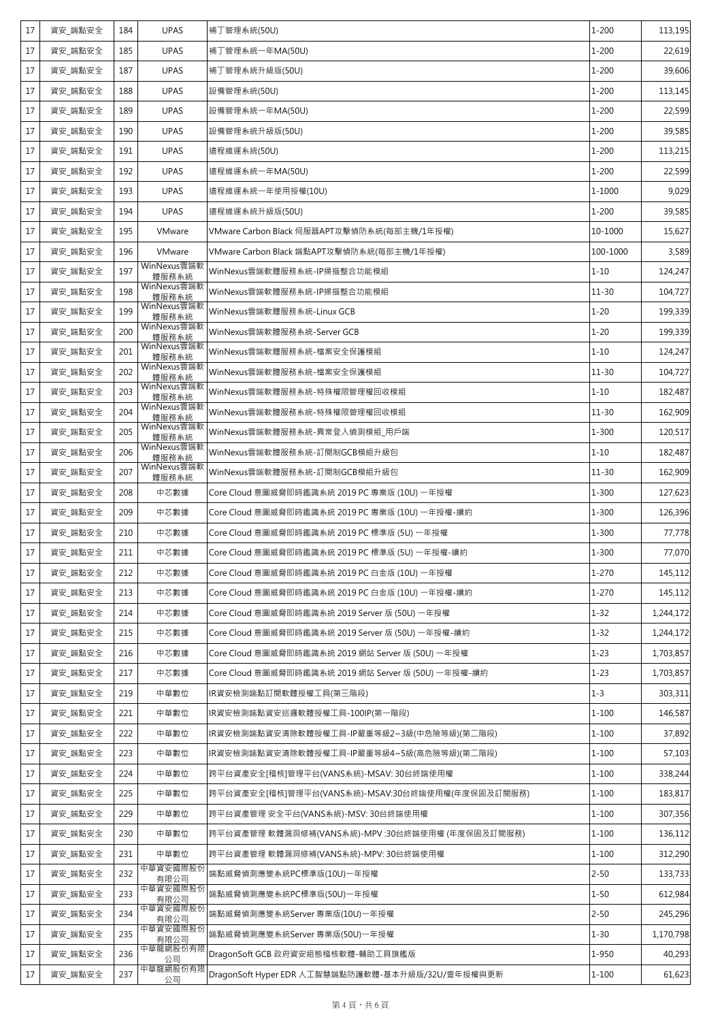| 17 | 資安 端點安全 | 184 | <b>UPAS</b>          | 補丁管理系統(50U)                                          | $1 - 200$ | 113,195   |
|----|---------|-----|----------------------|------------------------------------------------------|-----------|-----------|
| 17 | 資安_端點安全 | 185 | <b>UPAS</b>          | 補丁管理系統一年MA(50U)                                      | $1 - 200$ | 22,619    |
| 17 | 資安_端點安全 | 187 | <b>UPAS</b>          | 補丁管理系統升級版(50U)                                       | $1 - 200$ | 39,606    |
| 17 | 資安_端點安全 | 188 | <b>UPAS</b>          | 設備管理系統(50U)                                          | $1 - 200$ | 113,145   |
| 17 | 資安_端點安全 | 189 | <b>UPAS</b>          | 設備管理系統一年MA(50U)                                      | $1 - 200$ | 22,599    |
| 17 | 資安_端點安全 | 190 | <b>UPAS</b>          | 設備管理系統升級版(50U)                                       | $1 - 200$ | 39,585    |
| 17 | 資安_端點安全 | 191 | <b>UPAS</b>          | 遠程維運系統(50U)                                          | $1 - 200$ | 113,215   |
| 17 | 資安_端點安全 | 192 | <b>UPAS</b>          | 遠程維運系統一年MA(50U)                                      | $1 - 200$ | 22,599    |
| 17 | 資安_端點安全 | 193 | <b>UPAS</b>          | 遠程維運系統一年使用授權(10U)                                    | 1-1000    | 9,029     |
| 17 | 資安 端點安全 | 194 | <b>UPAS</b>          | 遠程維運系統升級版(50U)                                       | $1 - 200$ | 39,585    |
| 17 | 資安_端點安全 | 195 | VMware               | VMware Carbon Black 伺服器APT攻擊偵防系統(每部主機/1年授權)          | 10-1000   | 15,627    |
| 17 | 資安_端點安全 | 196 | VMware               | VMware Carbon Black 端點APT攻擊偵防系統(每部主機/1年授權)           | 100-1000  | 3,589     |
| 17 | 資安 端點安全 | 197 | WinNexus雲端軟<br>體服務系統 | WinNexus雲端軟體服務系統-IP掃描整合功能模組                          | $1 - 10$  | 124,247   |
| 17 | 資安_端點安全 | 198 | WinNexus雲端軟<br>體服務系統 | WinNexus雲端軟體服務系統-IP掃描整合功能模組                          | $11 - 30$ | 104,727   |
| 17 | 資安_端點安全 | 199 | WinNexus雲端軟<br>體服務系統 | WinNexus雲端軟體服務系統-Linux GCB                           | $1 - 20$  | 199,339   |
| 17 | 資安_端點安全 | 200 | WinNexus雲端軟<br>體服務系統 | WinNexus雲端軟體服務系統-Server GCB                          | $1 - 20$  | 199,339   |
| 17 | 資安_端點安全 | 201 | WinNexus雲端軟<br>體服務系統 | WinNexus雲端軟體服務系統-檔案安全保護模組                            | $1 - 10$  | 124,247   |
| 17 | 資安_端點安全 | 202 | WinNexus雲端軟<br>體服務系統 | WinNexus雲端軟體服務系統-檔案安全保護模組                            | $11 - 30$ | 104,727   |
| 17 | 資安_端點安全 | 203 | WinNexus雲端軟<br>體服務系統 | WinNexus雲端軟體服務系統-特殊權限管理權回收模組                         | $1 - 10$  | 182,487   |
| 17 | 資安_端點安全 | 204 | WinNexus雲端軟<br>體服務系統 | WinNexus雲端軟體服務系統-特殊權限管理權回收模組                         | $11 - 30$ | 162,909   |
| 17 | 資安_端點安全 | 205 | WinNexus雲端軟<br>體服務系統 | WinNexus雲端軟體服務系統-異常登入偵測模組_用戶端                        | $1 - 300$ | 120,517   |
| 17 | 資安_端點安全 | 206 | WinNexus雲端軟<br>體服務系統 | WinNexus雲端軟體服務系統-訂閱制GCB模組升級包                         | $1 - 10$  | 182,487   |
| 17 | 資安_端點安全 | 207 | WinNexus雲端軟<br>體服務系統 | WinNexus雲端軟體服務系統-訂閱制GCB模組升級包                         | $11 - 30$ | 162,909   |
| 17 | 資安_端點安全 | 208 | 中芯數據                 | Core Cloud 意圖威脅即時鑑識系統 2019 PC 專業版 (10U) 一年授權         | 1-300     | 127,623   |
| 17 | 資安_端點安全 | 209 | 中芯數據                 | Core Cloud 意圖威脅即時鑑識系統 2019 PC 專業版 (10U) 一年授權-續約      | $1 - 300$ | 126,396   |
| 17 | 資安_端點安全 | 210 | 中芯數據                 | Core Cloud 意圖威脅即時鑑識系統 2019 PC 標準版 (5U) 一年授權          | $1 - 300$ | 77,778    |
| 17 | 資安_端點安全 | 211 | 中芯數據                 | Core Cloud 意圖威脅即時鑑識系統 2019 PC 標準版 (5U) 一年授權-續約       | $1 - 300$ | 77,070    |
| 17 | 資安_端點安全 | 212 | 中芯數據                 | Core Cloud 意圖威脅即時鑑識系統 2019 PC 白金版 (10U) 一年授權         | $1 - 270$ | 145,112   |
| 17 | 資安 端點安全 | 213 | 中芯數據                 | Core Cloud 意圖威脅即時鑑識系統 2019 PC 白金版 (10U) 一年授權-續約      | $1 - 270$ | 145,112   |
| 17 | 資安_端點安全 | 214 | 中芯數據                 | Core Cloud 意圖威脅即時鑑識系統 2019 Server 版 (50U) 一年授權       | $1 - 32$  | 1,244,172 |
| 17 | 資安_端點安全 | 215 | 中芯數據                 | Core Cloud 意圖威脅即時鑑識系統 2019 Server 版 (50U) 一年授權-續約    | $1 - 32$  | 1,244,172 |
| 17 | 資安_端點安全 | 216 | 中芯數據                 | Core Cloud 意圖威脅即時鑑識系統 2019 網站 Server 版 (50U) 一年授權    | $1 - 23$  | 1,703,857 |
| 17 | 資安_端點安全 | 217 | 中芯數據                 | Core Cloud 意圖威脅即時鑑識系統 2019 網站 Server 版 (50U) 一年授權-續約 | $1 - 23$  | 1,703,857 |
| 17 | 資安 端點安全 | 219 | 中華數位                 | IR資安檢測端點訂閱軟體授權工具(第三階段)                               | $1 - 3$   | 303,311   |
| 17 | 資安 端點安全 | 221 | 中華數位                 | IR資安檢測端點資安巡邏軟體授權工具-100IP(第一階段)                       | $1 - 100$ | 146,587   |
| 17 | 資安_端點安全 | 222 | 中華數位                 | IR資安檢測端點資安清除軟體授權工具-IP嚴重等級2~3級(中危險等級)(第二階段)           | $1 - 100$ | 37,892    |
| 17 | 資安_端點安全 | 223 | 中華數位                 | IR資安檢測端點資安清除軟體授權工具-IP嚴重等級4~5級(高危險等級)(第二階段)           | $1 - 100$ | 57,103    |
| 17 | 資安_端點安全 | 224 | 中華數位                 | 跨平台資產安全[稽核]管理平台(VANS系統)-MSAV: 30台終端使用權               | $1 - 100$ | 338,244   |
| 17 | 資安_端點安全 | 225 | 中華數位                 | 跨平台資產安全[稽核]管理平台(VANS系統)-MSAV:30台終端使用權(年度保固及訂閱服務)     | $1 - 100$ | 183,817   |
| 17 | 資安_端點安全 | 229 | 中華數位                 | 跨平台資產管理 安全平台(VANS系統)-MSV: 30台終端使用權                   | $1 - 100$ | 307,356   |
| 17 | 資安_端點安全 | 230 | 中華數位                 | 跨平台資產管理 軟體漏洞修補(VANS系統)-MPV :30台終端使用權 (年度保固及訂閱服務)     | $1 - 100$ | 136,112   |
| 17 | 資安_端點安全 | 231 | 中華數位                 | 跨平台資產管理 軟體漏洞修補(VANS系統)-MPV: 30台終端使用權                 | $1 - 100$ | 312,290   |
| 17 | 資安_端點安全 | 232 | 中華資安國際股份<br>有限公司     | 端點威脅偵測應變系統PC標準版(10U)一年授權                             | $2 - 50$  | 133,733   |
| 17 | 資安_端點安全 | 233 | 中華資安國際股份<br>有限公司     | 端點威脅偵測應變系統PC標準版(50U)一年授權                             | $1 - 50$  | 612,984   |
| 17 | 資安_端點安全 | 234 | 中華資安國際股份<br>有限公司     | 端點威脅偵測應變系統Server 專業版(10U)一年授權                        | $2 - 50$  | 245,296   |
| 17 | 資安_端點安全 | 235 | 中華資安國際股份<br>有限公司     | 端點威脅偵測應變系統Server 專業版(50U)一年授權                        | $1 - 30$  | 1,170,798 |
| 17 | 資安_端點安全 | 236 | 中華龍網股份有限<br>公司       | DragonSoft GCB 政府資安組態稽核軟體-輔助工具旗艦版                    | 1-950     | 40,293    |
| 17 | 資安_端點安全 | 237 | 中華龍網股份有限<br>公司       | DragonSoft Hyper EDR 人工智慧端點防護軟體-基本升級版/32U/壹年授權與更新    | $1 - 100$ | 61,623    |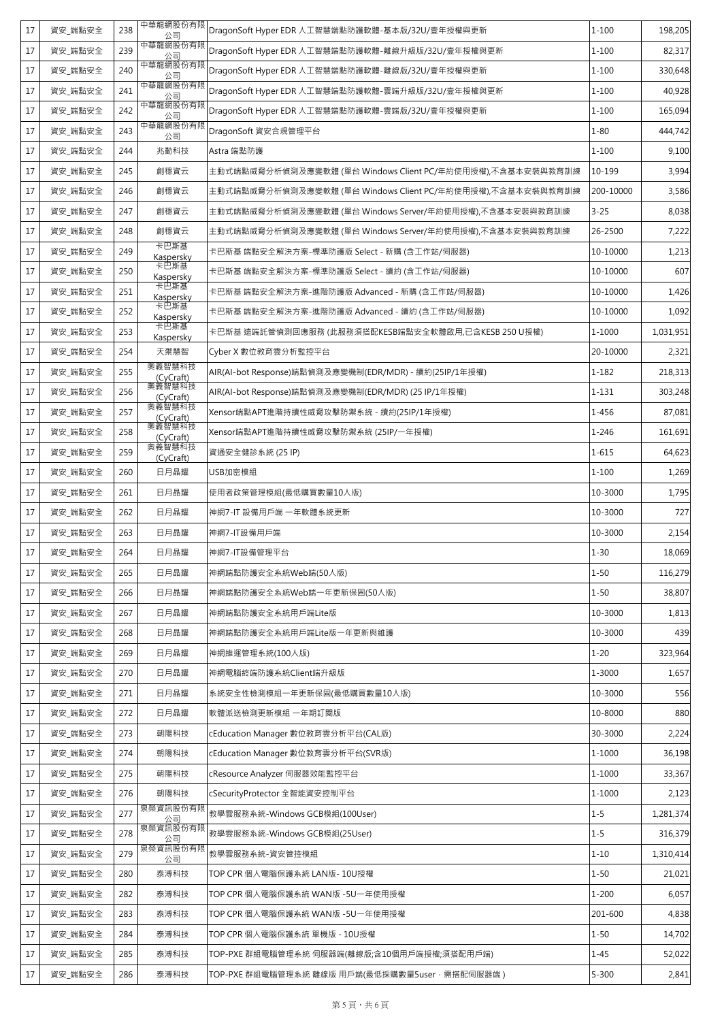| 17 | 資安_端點安全 | 238 | 中華龍網股份有限<br>公司      | DragonSoft Hyper EDR 人工智慧端點防護軟體-基本版/32U/壹年授權與更新            | $1 - 100$  | 198,205   |
|----|---------|-----|---------------------|------------------------------------------------------------|------------|-----------|
| 17 | 資安_端點安全 | 239 | 中華龍網股份有限<br>公司      | DragonSoft Hyper EDR 人工智慧端點防護軟體-離線升級版/32U/壹年授權與更新          | $1 - 100$  | 82,317    |
| 17 | 資安_端點安全 | 240 | 中華龍網股份有限<br>公司      | DragonSoft Hyper EDR 人工智慧端點防護軟體-離線版/32U/壹年授權與更新            | $1 - 100$  | 330,648   |
| 17 | 資安_端點安全 | 241 | 中華龍網股份有限<br>公司      | DragonSoft Hyper EDR 人工智慧端點防護軟體-雲端升級版/32U/壹年授權與更新          | $1 - 100$  | 40,928    |
| 17 | 資安 端點安全 | 242 | 中華龍網股份有限<br>公司      | DragonSoft Hyper EDR 人工智慧端點防護軟體-雲端版/32U/壹年授權與更新            | $1 - 100$  | 165,094   |
| 17 | 資安_端點安全 | 243 | 中華龍網股份有限<br>公司      | DragonSoft 資安合規管理平台                                        | $1 - 80$   | 444,742   |
| 17 | 資安_端點安全 | 244 | 兆勤科技                | Astra 端點防護                                                 | $1 - 100$  | 9,100     |
| 17 | 資安_端點安全 | 245 | 創穩資云                | 主動式端點威脅分析偵測及應變軟體(單台 Windows Client PC/年約使用授權),不含基本安裝與教育訓練  | 10-199     | 3,994     |
| 17 | 資安 端點安全 | 246 | 創穩資云                | 主動式端點威脅分析偵測及應變軟體 (單台 Windows Client PC/年約使用授權),不含基本安裝與教育訓練 | 200-10000  | 3,586     |
| 17 | 資安 端點安全 | 247 | 創穩資云                | 主動式端點威脅分析偵測及應變軟體 (單台 Windows Server/年約使用授權),不含基本安裝與教育訓練    | $3 - 25$   | 8,038     |
| 17 | 資安_端點安全 | 248 | 創穩資云                | 主動式端點威脅分析偵測及應變軟體 (單台 Windows Server/年約使用授權),不含基本安裝與教育訓練    | 26-2500    | 7,222     |
| 17 | 資安_端點安全 | 249 | 卡巴斯基<br>Kaspersky   | 卡巴斯基 端點安全解決方案-標準防護版 Select - 新購 (含工作站/伺服器)                 | 10-10000   | 1,213     |
| 17 | 資安_端點安全 | 250 | 卡巴斯基<br>Kaspersky   | 卡巴斯基 端點安全解決方案-標準防護版 Select - 續約 (含工作站/伺服器)                 | 10-10000   | 607       |
| 17 | 資安 端點安全 | 251 | 卡巴斯基<br>Kaspersky   | 卡巴斯基 端點安全解決方案-進階防護版 Advanced - 新購 (含工作站/伺服器)               | 10-10000   | 1,426     |
| 17 | 資安_端點安全 | 252 | 卡巴斯基<br>Kaspersky   | 卡巴斯基 端點安全解決方案-進階防護版 Advanced - 續約 (含工作站/伺服器)               | 10-10000   | 1,092     |
| 17 | 資安 端點安全 | 253 | 卡巴斯基<br>Kaspersky   | 卡巴斯基 遠端託管偵測回應服務 (此服務須搭配KESB端點安全軟體啟用,已含KESB 250 U授權)        | 1-1000     | 1,031,951 |
| 17 | 資安_端點安全 | 254 | 天禦慧智                | Cyber X 數位教育雲分析監控平台                                        | 20-10000   | 2,321     |
| 17 | 資安_端點安全 | 255 | 奧義智慧科技<br>(CyCraft) | AIR(AI-bot Response) 端點偵測及應變機制(EDR/MDR) - 續約(25IP/1年授權)    | $1 - 182$  | 218,313   |
| 17 | 資安_端點安全 | 256 | 奧義智慧科技<br>(CyCraft) | AIR(AI-bot Response)端點偵測及應變機制(EDR/MDR) (25 IP/1年授權)        | 1-131      | 303,248   |
| 17 | 資安_端點安全 | 257 | 奧義智慧科技<br>(CyCraft) | Xensor端點APT進階持續性威脅攻擊防禦系統 - 續約(25IP/1年授權)                   | 1-456      | 87,081    |
| 17 | 資安_端點安全 | 258 | 奧義智慧科技<br>(CyCraft) | Xensor端點APT進階持續性威脅攻擊防禦系統 (25IP/一年授權)                       | $1 - 246$  | 161,691   |
| 17 | 資安_端點安全 | 259 | 奧義智慧科技<br>(CyCraft) | 資通安全健診系統 (25 IP)                                           | $1 - 615$  | 64,623    |
| 17 | 資安_端點安全 | 260 | 日月晶耀                | USB加密模組                                                    | $1 - 100$  | 1,269     |
| 17 | 資安 端點安全 | 261 | 日月晶耀                | 使用者政策管理模組(最低購買數量10人版)                                      | 10-3000    | 1,795     |
| 17 | 資安_端點安全 | 262 | 日月晶耀                | 神網7-IT 設備用戶端 一年軟體系統更新                                      | 10-3000    | 727       |
| 17 | 資安_端點安全 | 263 | 日月晶耀                | 神網7-IT設備用戶端                                                | 10-3000    | 2,154     |
| 17 | 資安_端點安全 | 264 | 日月晶耀                | 神網7-IT設備管理平台                                               | $1 - 30$   | 18,069    |
| 17 | 資安 端點安全 | 265 | 日月晶耀                | 神網端點防護安全系統Web端(50人版)                                       | $1 - 50$   | 116,279   |
| 17 | 資安_端點安全 | 266 | 日月晶耀                | 神網端點防護安全系統Web端一年更新保固(50人版)                                 | $1 - 50$   | 38,807    |
| 17 | 資安_端點安全 | 267 | 日月晶耀                | 神網端點防護安全系統用戶端Lite版                                         | 10-3000    | 1,813     |
| 17 | 資安_端點安全 | 268 | 日月晶耀                | 神網端點防護安全系統用戶端Lite版一年更新與維護                                  | 10-3000    | 439       |
| 17 | 資安 端點安全 | 269 | 日月晶耀                | 神網維運管理系統(100人版)                                            | $1 - 20$   | 323,964   |
| 17 | 資安_端點安全 | 270 | 日月晶耀                | 神網電腦終端防護系統Client端升級版                                       | 1-3000     | 1,657     |
| 17 | 資安_端點安全 | 271 | 日月晶耀                | 系統安全性檢測模組一年更新保固(最低購買數量10人版)                                | 10-3000    | 556       |
| 17 | 資安_端點安全 | 272 | 日月晶耀                | 軟體派送檢測更新模組 一年期訂閱版                                          | 10-8000    | 880       |
| 17 | 資安_端點安全 | 273 | 朝陽科技                | cEducation Manager 數位教育雲分析平台(CAL版)                         | 30-3000    | 2,224     |
| 17 | 資安_端點安全 | 274 | 朝陽科技                | cEducation Manager 數位教育雲分析平台(SVR版)                         | $1 - 1000$ | 36,198    |
| 17 | 資安_端點安全 | 275 | 朝陽科技                | cResource Analyzer 伺服器效能監控平台                               | $1 - 1000$ | 33,367    |
| 17 | 資安_端點安全 | 276 | 朝陽科技<br>泉榮資訊股份有限    | cSecurityProtector 全智能資安控制平台                               | 1-1000     | 2,123     |
| 17 | 資安_端點安全 | 277 | 公司<br>泉榮資訊股份有限      | 教學雲服務系統-Windows GCB模組(100User)                             | $1 - 5$    | 1,281,374 |
| 17 | 資安_端點安全 | 278 | 公司<br>泉榮資訊股份有限      | 教學雲服務系統-Windows GCB模組(25User)                              | $1 - 5$    | 316,379   |
| 17 | 資安_端點安全 | 279 | 公司                  | 教學雲服務系統-資安管控模組                                             | $1 - 10$   | 1,310,414 |
| 17 | 資安_端點安全 | 280 | 泰溥科技                | TOP CPR 個人電腦保護系統 LAN版- 10U授權                               | $1 - 50$   | 21,021    |
| 17 | 資安_端點安全 | 282 | 泰溥科技                | TOP CPR 個人電腦保護系統 WAN版 -5U一年使用授權                            | $1 - 200$  | 6,057     |
| 17 | 資安_端點安全 | 283 | 泰溥科技                | TOP CPR 個人電腦保護系統 WAN版 -5U一年使用授權                            | 201-600    | 4,838     |
| 17 | 資安_端點安全 | 284 | 泰溥科技                | TOP CPR 個人電腦保護系統 單機版 - 10U授權                               | $1 - 50$   | 14,702    |
| 17 | 資安_端點安全 | 285 | 泰溥科技                | TOP-PXE 群組電腦管理系統 伺服器端(離線版;含10個用戶端授權;須搭配用戶端)                | $1 - 45$   | 52,022    |
| 17 | 資安_端點安全 | 286 | 泰溥科技                | TOP-PXE 群組電腦管理系統 離線版 用戶端(最低採購數量5user,需搭配伺服器端)              | $5 - 300$  | 2,841     |